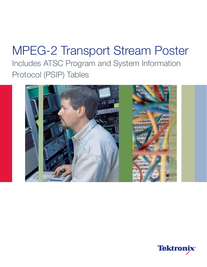# MPEG-2 Transport Stream Poster Includes ATSC Program and System Information Protocol (PSIP) Tables



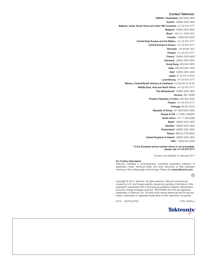## Contact Tektronix:

ASEAN / Australasia (65) 6356 3900 Austria\* 00800 2255 4835 Balkans, Israel, South Africa and other ISE Countries +41 52 675 3777 Belgium\* 00800 2255 4835 Brazil +55 (11) 3759 7627 Canada 1 (800) 833-9200 Central East Europe and the Baltics +41 52 675 3777 Central Europe & Greece +41 52 675 3777 Denmark +45 80 88 1401 Finland +41 52 675 3777 France\* 00800 2255 4835 Germany\* 00800 2255 4835 Hong Kong 400-820-5835 India 000-800-650-1835 Italy\* 00800 2255 4835 Japan 81 (3) 6714-3010 Luxembourg +41 52 675 3777 Mexico, Central/South America & Caribbean 52 (55) 56 04 50 90 Middle East, Asia and North Africa +41 52 675 3777 The Netherlands\* 00800 2255 4835 Norway 800 16098 People's Republic of China 400-820-5835 Poland +41 52 675 3777 Portugal 80 08 12370 Republic of Korea 001-800-8255-2835 Russia & CIS +7 (495) 7484900 South Africa +27 11 206 8360 Spain\* 00800 2255 4835 Sweden\* 00800 2255 4835 Switzerland\* 00800 2255 4835 Taiwan 886 (2) 2722-9622 United Kingdom & Ireland\* 00800 2255 4835 USA 1 (800) 833-9200

> \* If the European phone number above is not accessible, please call +41 52 675 3777

> > Contact List Updated 10 February 2011

### For Further Information

Tektronix maintains a comprehensive, constantly expanding collection of application notes, technical briefs and other resources to help engineers working on the cutting edge of technology. Please visit www.tektronix.com



Copyright © 2012, Tektronix. All rights reserved. Tektronix products are covered by U.S. and foreign patents, issued and pending. Information in this publication supersedes that in all previously published material. Specification and price change privileges reserved. TEKTRONIX and TEK are registered trademarks of Tektronix, Inc. All other trade names referenced are the service marks, trademarks or registered trademarks of their respective companies.

03/12 EA/FCA-POD 21W-15020-4